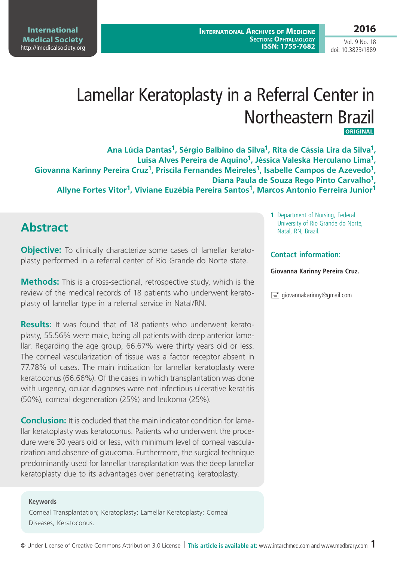**International Medical Society**  <http://imedicalsociety.org>

**International Archives of Medicine Section: Ophtalmology ISSN: 1755-7682**

Vol. 9 No. 18 doi: 10.3823/1889

# Lamellar Keratoplasty in a Referral Center in Northeastern Brazil **Original**

**Ana Lúcia Dantas1, Sérgio Balbino da Silva1, Rita de Cássia Lira da Silva1, Luisa Alves Pereira de Aquino1, Jéssica Valeska Herculano Lima1,**  Giovanna Karinny Pereira Cruz<sup>1</sup>, Priscila Fernandes Meireles<sup>1</sup>, Isabelle Campos de Azevedo<sup>1</sup>, **Diana Paula de Souza Rego Pinto Carvalho1, Allyne Fortes Vitor1, Viviane Euzébia Pereira Santos1, Marcos Antonio Ferreira Junior1**

### **Abstract**

**Objective:** To clinically characterize some cases of lamellar keratoplasty performed in a referral center of Rio Grande do Norte state.

**Methods:** This is a cross-sectional, retrospective study, which is the review of the medical records of 18 patients who underwent keratoplasty of lamellar type in a referral service in Natal/RN.

**Results:** It was found that of 18 patients who underwent keratoplasty, 55.56% were male, being all patients with deep anterior lamellar. Regarding the age group, 66.67% were thirty years old or less. The corneal vascularization of tissue was a factor receptor absent in 77.78% of cases. The main indication for lamellar keratoplasty were keratoconus (66.66%). Of the cases in which transplantation was done with urgency, ocular diagnoses were not infectious ulcerative keratitis (50%), corneal degeneration (25%) and leukoma (25%).

**Conclusion:** It is cocluded that the main indicator condition for lamellar keratoplasty was keratoconus. Patients who underwent the procedure were 30 years old or less, with minimum level of corneal vascularization and absence of glaucoma. Furthermore, the surgical technique predominantly used for lamellar transplantation was the deep lamellar keratoplasty due to its advantages over penetrating keratoplasty.

#### **Keywords**

Corneal Transplantation; Keratoplasty; Lamellar Keratoplasty; Corneal Diseases, Keratoconus.

**1** Department of Nursing, Federal University of Rio Grande do Norte, Natal, RN, Brazil.

#### **Contact information:**

#### **Giovanna Karinny Pereira Cruz.**

 $\equiv$  giovannakarinny@gmail.com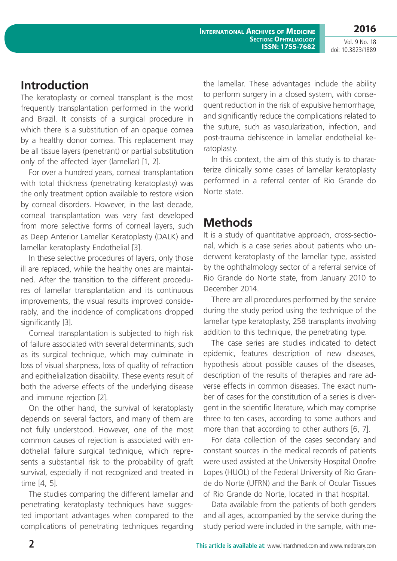**International Archives of Medicine Section: Ophtalmology ISSN: 1755-7682** **2016**

Vol. 9 No. 18 doi: 10.3823/1889

## **Introduction**

The keratoplasty or corneal transplant is the most frequently transplantation performed in the world and Brazil. It consists of a surgical procedure in which there is a substitution of an opaque cornea by a healthy donor cornea. This replacement may be all tissue layers (penetrant) or partial substitution only of the affected layer (lamellar) [1, 2].

For over a hundred years, corneal transplantation with total thickness (penetrating keratoplasty) was the only treatment option available to restore vision by corneal disorders. However, in the last decade, corneal transplantation was very fast developed from more selective forms of corneal layers, such as Deep Anterior Lamellar Keratoplasty (DALK) and lamellar keratoplasty Endothelial [3].

In these selective procedures of layers, only those ill are replaced, while the healthy ones are maintained. After the transition to the different procedures of lamellar transplantation and its continuous improvements, the visual results improved considerably, and the incidence of complications dropped significantly [3].

Corneal transplantation is subjected to high risk of failure associated with several determinants, such as its surgical technique, which may culminate in loss of visual sharpness, loss of quality of refraction and epithelialization disability. These events result of both the adverse effects of the underlying disease and immune rejection [2].

On the other hand, the survival of keratoplasty depends on several factors, and many of them are not fully understood. However, one of the most common causes of rejection is associated with endothelial failure surgical technique, which represents a substantial risk to the probability of graft survival, especially if not recognized and treated in time [4, 5].

The studies comparing the different lamellar and penetrating keratoplasty techniques have suggested important advantages when compared to the complications of penetrating techniques regarding the lamellar. These advantages include the ability to perform surgery in a closed system, with consequent reduction in the risk of expulsive hemorrhage, and significantly reduce the complications related to the suture, such as vascularization, infection, and post-trauma dehiscence in lamellar endothelial keratoplasty.

In this context, the aim of this study is to characterize clinically some cases of lamellar keratoplasty performed in a referral center of Rio Grande do Norte state.

## **Methods**

It is a study of quantitative approach, cross-sectional, which is a case series about patients who underwent keratoplasty of the lamellar type, assisted by the ophthalmology sector of a referral service of Rio Grande do Norte state, from January 2010 to December 2014.

There are all procedures performed by the service during the study period using the technique of the lamellar type keratoplasty, 258 transplants involving addition to this technique, the penetrating type.

The case series are studies indicated to detect epidemic, features description of new diseases, hypothesis about possible causes of the diseases, description of the results of therapies and rare adverse effects in common diseases. The exact number of cases for the constitution of a series is divergent in the scientific literature, which may comprise three to ten cases, according to some authors and more than that according to other authors [6, 7].

For data collection of the cases secondary and constant sources in the medical records of patients were used assisted at the University Hospital Onofre Lopes (HUOL) of the Federal University of Rio Grande do Norte (UFRN) and the Bank of Ocular Tissues of Rio Grande do Norte, located in that hospital.

Data available from the patients of both genders and all ages, accompanied by the service during the study period were included in the sample, with me-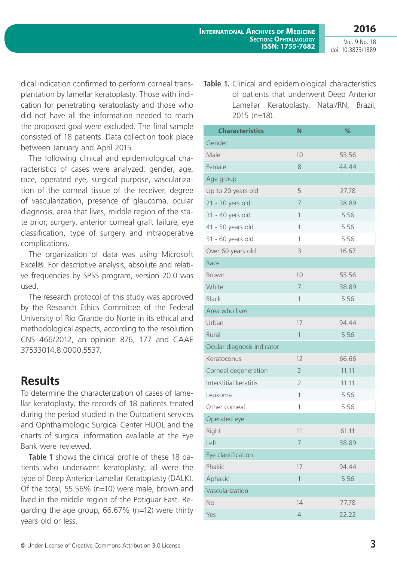Vol. 9 No. 18 doi: 10.3823/1889

**2016**

dical indication confirmed to perform corneal transplantation by lamellar keratoplasty. Those with indication for penetrating keratoplasty and those who did not have all the information needed to reach the proposed goal were excluded. The final sample consisted of 18 patients. Data collection took place between January and April 2015.

The following clinical and epidemiological characteristics of cases were analyzed: gender, age, race, operated eye, surgical purpose, vascularization of the corneal tissue of the receiver, degree of vascularization, presence of glaucoma, ocular diagnosis, area that lives, middle region of the state prior, surgery, anterior corneal graft failure, eye classification, type of surgery and intraoperative complications.

The organization of data was using Microsoft Excel®. For descriptive analysis, absolute and relative frequencies by SPSS program, version 20.0 was used.

The research protocol of this study was approved by the Research Ethics Committee of the Federal University of Rio Grande do Norte in its ethical and methodological aspects, according to the resolution CNS 466/2012, an opinion 876, 177 and CAAE 37533014.8.0000.5537.

## **Results**

To determine the characterization of cases of lamellar keratoplasty, the records of 18 patients treated during the period studied in the Outpatient services and Ophthalmologic Surgical Center HUOL and the charts of surgical information available at the Eye Bank were reviewed.

**Table 1** shows the clinical profile of these 18 patients who underwent keratoplasty; all were the type of Deep Anterior Lamellar Keratoplasty (DALK). Of the total, 55.56% (n=10) were male, brown and lived in the middle region of the Potiguar East. Regarding the age group, 66.67% (n=12) were thirty years old or less.

Table 1. Clinical and epidemiological characteristics of patients that underwent Deep Anterior Lamellar Keratoplasty. Natal/RN, Brazil, 2015 (n=18).

| <b>Characteristics</b>     | N              | %     |  |
|----------------------------|----------------|-------|--|
| Gender                     |                |       |  |
| Male                       | 10             | 55.56 |  |
| Female                     | 8              | 44.44 |  |
| Age group                  |                |       |  |
| Up to 20 years old         | 5              | 27.78 |  |
| 21 - 30 yers old           | 7              | 38.89 |  |
| 31 - 40 yers old           | 1              | 5.56  |  |
| 41 - 50 years old          | $\mathbf 1$    | 5.56  |  |
| 51 - 60 years old          | 1              | 5.56  |  |
| Over 60 years old          | 3              | 16.67 |  |
| Race                       |                |       |  |
| <b>Brown</b>               | 10             | 55.56 |  |
| White                      | 7              | 38.89 |  |
| <b>Black</b>               | 1              | 5.56  |  |
| Area who lives             |                |       |  |
| Urban                      | 17             | 94.44 |  |
| Rural                      | 1              | 5.56  |  |
| Ocular diagnosis indicator |                |       |  |
| Keratoconus                | 12             | 66.66 |  |
| Corneal degeneration       | $\overline{2}$ | 11.11 |  |
| Interstitial keratitis     | $\overline{2}$ | 11.11 |  |
| Leukoma                    | $\mathbf{1}$   | 5.56  |  |
| Other corneal              | 1              | 5.56  |  |
| Operated eye               |                |       |  |
| Right                      | 11             | 61.11 |  |
| Left                       | 7              | 38.89 |  |
| Eye classification         |                |       |  |
| Phakic                     | 17             | 94.44 |  |
| Aphakic                    | 1              | 5.56  |  |
| Vascularization            |                |       |  |
| <b>No</b>                  | 14             | 77.78 |  |
| Yes                        | $\overline{4}$ | 22.22 |  |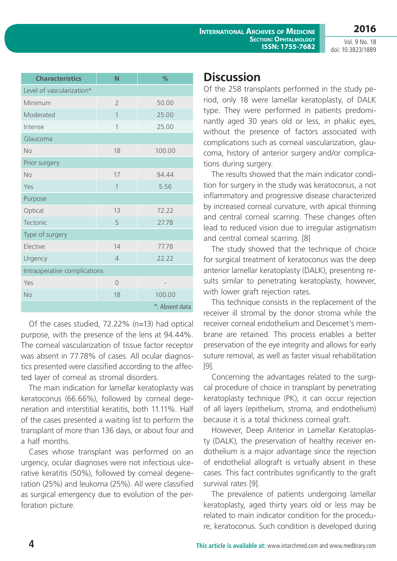Vol. 9 No. 18 doi: 10.3823/1889

**2016**

| <b>Characteristics</b>       | N              | %              |  |
|------------------------------|----------------|----------------|--|
| Level of vascularization*    |                |                |  |
| Minimum                      | $\overline{2}$ | 50.00          |  |
| Moderated                    | $\mathbf{1}$   | 25.00          |  |
| Intense                      | 1              | 25.00          |  |
| Glaucoma                     |                |                |  |
| No                           | 18             | 100.00         |  |
| Prior surgery                |                |                |  |
| No                           | 17             | 94.44          |  |
| Yes                          | 1              | 5.56           |  |
| Purpose                      |                |                |  |
| Optical                      | 13             | 72.22          |  |
| Tectonic                     | 5              | 27.78          |  |
| Type of surgery              |                |                |  |
| Elective                     | 14             | 77.78          |  |
| Urgency                      | $\overline{4}$ | 22.22          |  |
| Intraoperative complications |                |                |  |
| Yes                          | $\overline{O}$ |                |  |
| <b>No</b>                    | 18             | 100.00         |  |
|                              |                | *: Absent data |  |

Of the cases studied, 72.22% (n=13) had optical purpose, with the presence of the lens at 94.44%. The corneal vascularization of tissue factor receptor was absent in 77.78% of cases. All ocular diagnostics presented were classified according to the affected layer of corneal as stromal disorders.

The main indication for lamellar keratoplasty was keratoconus (66.66%), followed by corneal degeneration and interstitial keratitis, both 11.11%. Half of the cases presented a waiting list to perform the transplant of more than 136 days, or about four and a half months.

Cases whose transplant was performed on an urgency, ocular diagnoses were not infectious ulcerative keratitis (50%), followed by corneal degeneration (25%) and leukoma (25%). All were classified as surgical emergency due to evolution of the perforation picture.

#### **Discussion**

Of the 258 transplants performed in the study period, only 18 were lamellar keratoplasty, of DALK type. They were performed in patients predominantly aged 30 years old or less, in phakic eyes, without the presence of factors associated with complications such as corneal vascularization, glaucoma, history of anterior surgery and/or complications during surgery.

The results showed that the main indicator condition for surgery in the study was keratoconus, a not inflammatory and progressive disease characterized by increased corneal curvature, with apical thinning and central corneal scarring. These changes often lead to reduced vision due to irregular astigmatism and central corneal scarring. [8]

The study showed that the technique of choice for surgical treatment of keratoconus was the deep anterior lamellar keratoplasty (DALK), presenting results similar to penetrating keratoplasty, however, with lower graft rejection rates.

This technique consists in the replacement of the receiver ill stromal by the donor stroma while the receiver corneal endothelium and Descemet's membrane are retained. This process enables a better preservation of the eye integrity and allows for early suture removal, as well as faster visual rehabilitation [9].

Concerning the advantages related to the surgical procedure of choice in transplant by penetrating keratoplasty technique (PK), it can occur rejection of all layers (epithelium, stroma, and endothelium) because it is a total thickness corneal graft.

However, Deep Anterior in Lamellar Keratoplasty (DALK), the preservation of healthy receiver endothelium is a major advantage since the rejection of endothelial allograft is virtually absent in these cases. This fact contributes significantly to the graft survival rates [9].

The prevalence of patients undergoing lamellar keratoplasty, aged thirty years old or less may be related to main indicator condition for the procedure, keratoconus. Such condition is developed during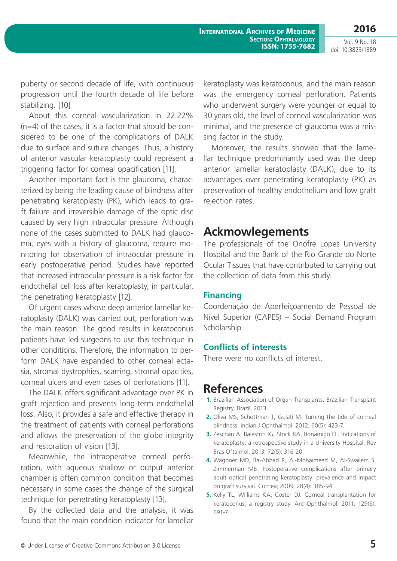**2016**

Vol. 9 No. 18 doi: 10.3823/1889

puberty or second decade of life, with continuous progression until the fourth decade of life before stabilizing. [10]

About this corneal vascularization in 22.22% (n=4) of the cases, it is a factor that should be considered to be one of the complications of DALK due to surface and suture changes. Thus, a history of anterior vascular keratoplasty could represent a triggering factor for corneal opacification [11].

Another important fact is the glaucoma, characterized by being the leading cause of blindness after penetrating keratoplasty (PK), which leads to graft failure and irreversible damage of the optic disc caused by very high intraocular pressure. Although none of the cases submitted to DALK had glaucoma, eyes with a history of glaucoma, require monitoring for observation of intraocular pressure in early postoperative period. Studies have reported that increased intraocular pressure is a risk factor for endothelial cell loss after keratoplasty, in particular, the penetrating keratoplasty [12].

Of urgent cases whose deep anterior lamellar keratoplasty (DALK) was carried out, perforation was the main reason. The good results in keratoconus patients have led surgeons to use this technique in other conditions. Therefore, the information to perform DALK have expanded to other corneal ectasia, stromal dystrophies, scarring, stromal opacities, corneal ulcers and even cases of perforations [11].

The DALK offers significant advantage over PK in graft rejection and prevents long-term endothelial loss. Also, it provides a safe and effective therapy in the treatment of patients with corneal perforations and allows the preservation of the globe integrity and restoration of vision [13].

Meanwhile, the intraoperative corneal perforation, with aqueous shallow or output anterior chamber is often common condition that becomes necessary in some cases the change of the surgical technique for penetrating keratoplasty [13].

By the collected data and the analysis, it was found that the main condition indicator for lamellar keratoplasty was keratoconus, and the main reason was the emergency corneal perforation. Patients who underwent surgery were younger or equal to 30 years old, the level of corneal vascularization was minimal, and the presence of glaucoma was a missing factor in the study.

Moreover, the results showed that the lamellar technique predominantly used was the deep anterior lamellar keratoplasty (DALK), due to its advantages over penetrating keratoplasty (PK) as preservation of healthy endothelium and low graft rejection rates.

### **Ackmowlegements**

The professionals of the Onofre Lopes University Hospital and the Bank of the Rio Grande do Norte Ocular Tissues that have contributed to carrying out the collection of data from this study.

#### **Financing**

Coordenação de Aperfeiçoamento de Pessoal de Nível Superior (CAPES) – Social Demand Program Scholarship.

#### **Conflicts of interests**

There were no conflicts of interest.

## **References**

- **1.** Brazilian Association of Organ Transplants. Brazilian Transplant Registry. Brazil, 2013.
- **2.** Oliva MS, Schottman T, Gulati M. Turning the tide of corneal blindness. Indian J Ophthalmol. 2012; 60(5): 423-7.
- **3.** Zeschau A, Balestrin IG, Stock RA, Bonamigo EL. Indications of keratoplasty: a retrospective study in a University Hospital. Rev Bras Oftalmol. 2013; 72(5): 316-20.
- **4.** Wagoner MD, Ba-Abbad R, Al-Mohaimeed M, Al-Swailem S, Zimmerman MB. Postoperative complications after primary adult optical penetrating keratoplasty: prevalence and impact on graft survival. Cornea; 2009; 28(4): 385-94.
- **5.** Kelly TL, Williams KA, Coster DJ. Corneal transplantation for keratoconus: a registry study. ArchOphthalmol. 2011; 129(6): 691-7.